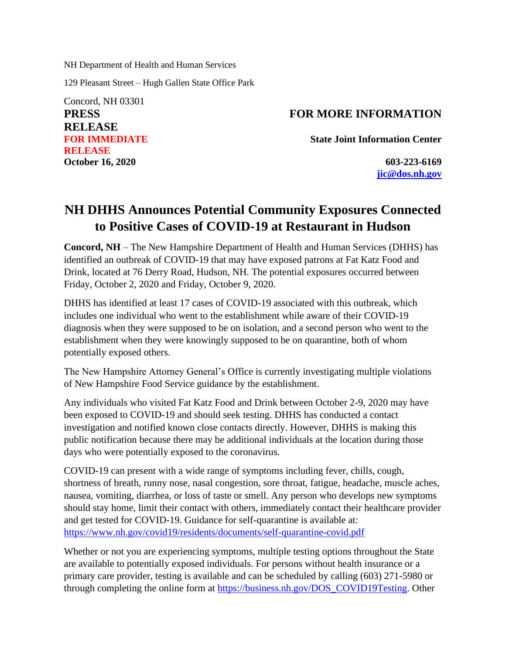NH Department of Health and Human Services

129 Pleasant Street – Hugh Gallen State Office Park

Concord, NH 03301 **PRESS RELEASE FOR IMMEDIATE RELEASE October 16, 2020 603-223-6169**

## **FOR MORE INFORMATION**

**State Joint Information Center**

**[jic@dos.nh.gov](mailto:jic@dos.nh.gov)**

## **NH DHHS Announces Potential Community Exposures Connected to Positive Cases of COVID-19 at Restaurant in Hudson**

**Concord, NH** – The New Hampshire Department of Health and Human Services (DHHS) has identified an outbreak of COVID-19 that may have exposed patrons at Fat Katz Food and Drink, located at 76 Derry Road, Hudson, NH. The potential exposures occurred between Friday, October 2, 2020 and Friday, October 9, 2020.

DHHS has identified at least 17 cases of COVID-19 associated with this outbreak, which includes one individual who went to the establishment while aware of their COVID-19 diagnosis when they were supposed to be on isolation, and a second person who went to the establishment when they were knowingly supposed to be on quarantine, both of whom potentially exposed others.

The New Hampshire Attorney General's Office is currently investigating multiple violations of New Hampshire Food Service guidance by the establishment.

Any individuals who visited Fat Katz Food and Drink between October 2-9, 2020 may have been exposed to COVID-19 and should seek testing. DHHS has conducted a contact investigation and notified known close contacts directly. However, DHHS is making this public notification because there may be additional individuals at the location during those days who were potentially exposed to the coronavirus.

COVID-19 can present with a wide range of symptoms including fever, chills, cough, shortness of breath, runny nose, nasal congestion, sore throat, fatigue, headache, muscle aches, nausea, vomiting, diarrhea, or loss of taste or smell. Any person who develops new symptoms should stay home, limit their contact with others, immediately contact their healthcare provider and get tested for COVID-19. Guidance for self-quarantine is available at: [https://www.nh.gov/covid19/residents/documents/self-quarantine-covid.pdf](https://nam11.safelinks.protection.outlook.com/?url=https%3A%2F%2Fwww.nh.gov%2Fcovid19%2Fresidents%2Fdocuments%2Fself-quarantine-covid.pdf&data=02%7C01%7Cashum%40NCHCNH.org%7C535a5d24664449cab15508d871f5e4bc%7Cdd987f63d3164cc39fb3cf9f579a041d%7C0%7C1%7C637384648220951261&sdata=9bpGgzBd8EhceZIHhjkfEaHQSNUL8kJJgLt3mtrikIk%3D&reserved=0)

Whether or not you are experiencing symptoms, multiple testing options throughout the State are available to potentially exposed individuals. For persons without health insurance or a primary care provider, testing is available and can be scheduled by calling (603) 271-5980 or through completing the online form at [https://business.nh.gov/DOS\\_COVID19Testing.](https://nam11.safelinks.protection.outlook.com/?url=https%3A%2F%2Fbusiness.nh.gov%2FDOS_COVID19Testing&data=02%7C01%7Cashum%40NCHCNH.org%7C535a5d24664449cab15508d871f5e4bc%7Cdd987f63d3164cc39fb3cf9f579a041d%7C0%7C1%7C637384648220961254&sdata=CBvTjK%2BomBjlNMfysNcTWONwGaZuQy9PbUnc37Ye4us%3D&reserved=0) Other